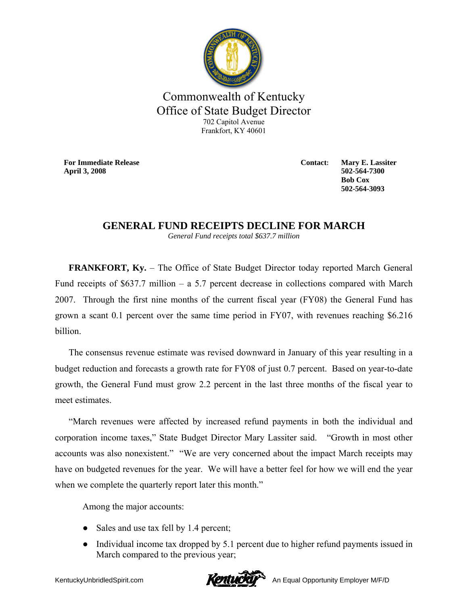

## Commonwealth of Kentucky Office of State Budget Director 702 Capitol Avenue Frankfort, KY 40601

**For Immediate Release April 3, 2008**

**Contact: Mary E. Lassiter 502-564-7300 Bob Cox 502-564-3093** 

## **GENERAL FUND RECEIPTS DECLINE FOR MARCH**

*General Fund receipts total \$637.7 million*

**FRANKFORT, Ky.** – The Office of State Budget Director today reported March General Fund receipts of \$637.7 million – a 5.7 percent decrease in collections compared with March 2007. Through the first nine months of the current fiscal year (FY08) the General Fund has grown a scant 0.1 percent over the same time period in FY07, with revenues reaching \$6.216 billion.

The consensus revenue estimate was revised downward in January of this year resulting in a budget reduction and forecasts a growth rate for FY08 of just 0.7 percent. Based on year-to-date growth, the General Fund must grow 2.2 percent in the last three months of the fiscal year to meet estimates.

"March revenues were affected by increased refund payments in both the individual and corporation income taxes," State Budget Director Mary Lassiter said. "Growth in most other accounts was also nonexistent." "We are very concerned about the impact March receipts may have on budgeted revenues for the year. We will have a better feel for how we will end the year when we complete the quarterly report later this month."

Among the major accounts:

- Sales and use tax fell by 1.4 percent;
- Individual income tax dropped by 5.1 percent due to higher refund payments issued in March compared to the previous year;

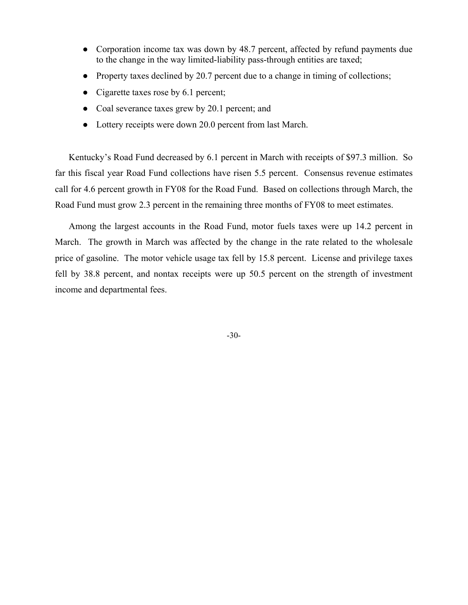- Corporation income tax was down by 48.7 percent, affected by refund payments due to the change in the way limited-liability pass-through entities are taxed;
- Property taxes declined by 20.7 percent due to a change in timing of collections;
- Cigarette taxes rose by 6.1 percent;
- Coal severance taxes grew by 20.1 percent; and
- Lottery receipts were down 20.0 percent from last March.

Kentucky's Road Fund decreased by 6.1 percent in March with receipts of \$97.3 million. So far this fiscal year Road Fund collections have risen 5.5 percent. Consensus revenue estimates call for 4.6 percent growth in FY08 for the Road Fund. Based on collections through March, the Road Fund must grow 2.3 percent in the remaining three months of FY08 to meet estimates.

Among the largest accounts in the Road Fund, motor fuels taxes were up 14.2 percent in March. The growth in March was affected by the change in the rate related to the wholesale price of gasoline. The motor vehicle usage tax fell by 15.8 percent. License and privilege taxes fell by 38.8 percent, and nontax receipts were up 50.5 percent on the strength of investment income and departmental fees.

-30-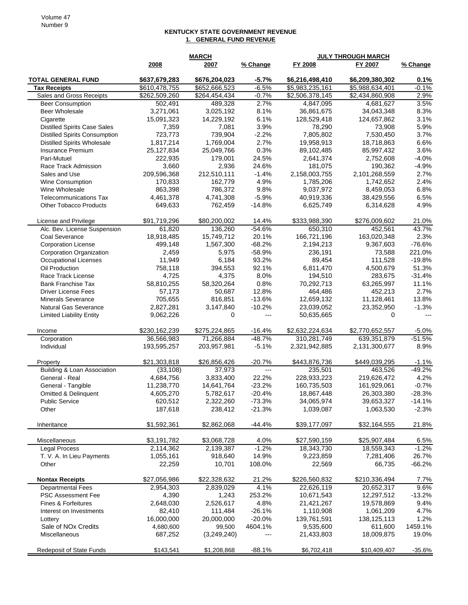## **KENTUCKY STATE GOVERNMENT REVENUE 1. GENERAL FUND REVENUE**

|                                           | <b>MARCH</b>         |                      |                 | <b>JULY THROUGH MARCH</b> |                         |                |  |
|-------------------------------------------|----------------------|----------------------|-----------------|---------------------------|-------------------------|----------------|--|
|                                           | 2008                 | 2007                 | % Change        | FY 2008                   | FY 2007                 | % Change       |  |
|                                           |                      |                      |                 |                           |                         |                |  |
| <b>TOTAL GENERAL FUND</b>                 | \$637,679,283        | \$676,204,023        | $-5.7%$         | \$6,216,498,410           | \$6,209,380,302         | 0.1%           |  |
| <b>Tax Receipts</b>                       | \$610,478,755        | \$652,666,523        | $-6.5%$         | \$5,983,235,161           | \$5,988,634,401         | $-0.1%$        |  |
| Sales and Gross Receipts                  | \$262,509,260        | \$264,454,434        | $-0.7%$<br>2.7% | \$2,506,378,145           | \$2,434,860,908         | 2.9%<br>3.5%   |  |
| <b>Beer Consumption</b><br>Beer Wholesale | 502,491<br>3,271,061 | 489,328<br>3,025,192 | 8.1%            | 4,847,095<br>36,861,675   | 4,681,627<br>34,043,348 | 8.3%           |  |
| Cigarette                                 | 15,091,323           | 14,229,192           | 6.1%            | 128,529,418               | 124,657,862             | 3.1%           |  |
| <b>Distilled Spirits Case Sales</b>       | 7,359                | 7,081                | 3.9%            | 78,290                    | 73,908                  | 5.9%           |  |
| <b>Distilled Spirits Consumption</b>      | 723,773              | 739,904              | $-2.2%$         | 7,805,802                 | 7,530,450               | 3.7%           |  |
| <b>Distilled Spirits Wholesale</b>        | 1,817,214            | 1,769,004            | 2.7%            | 19,958,913                | 18,718,863              | 6.6%           |  |
| <b>Insurance Premium</b>                  | 25,127,834           | 25,049,766           | 0.3%            | 89,102,485                | 85,997,432              | 3.6%           |  |
| Pari-Mutuel                               | 222,935              | 179,001              | 24.5%           | 2,641,374                 | 2,752,608               | $-4.0%$        |  |
| Race Track Admission                      | 3,660                | 2,936                | 24.6%           | 181,075                   | 190,362                 | $-4.9%$        |  |
| Sales and Use                             | 209,596,368          | 212,510,111          | $-1.4%$         | 2,158,003,755             | 2,101,268,559           | 2.7%           |  |
| Wine Consumption                          | 170,833              | 162,779              | 4.9%            | 1,785,206                 | 1,742,652               | 2.4%           |  |
| Wine Wholesale                            | 863,398              | 786,372              | 9.8%            | 9,037,972                 | 8,459,053               | 6.8%           |  |
| <b>Telecommunications Tax</b>             | 4,461,378            | 4,741,308            | $-5.9%$         | 40,919,336                | 38,429,556              | 6.5%           |  |
| <b>Other Tobacco Products</b>             | 649,633              | 762,459              | $-14.8%$        | 6,625,749                 | 6,314,628               | 4.9%           |  |
| License and Privilege                     | \$91,719,296         | \$80,200,002         | 14.4%           | \$333,988,390             | \$276,009,602           | 21.0%          |  |
| Alc. Bev. License Suspension              | 61,820               | 136,260              | $-54.6%$        | 650,310                   | 452,561                 | 43.7%          |  |
| <b>Coal Severance</b>                     | 18,918,485           | 15,749,712           | 20.1%           | 166,721,196               | 163,020,348             | 2.3%           |  |
| <b>Corporation License</b>                | 499,148              | 1,567,300            | $-68.2%$        | 2,194,213                 | 9,367,603               | $-76.6%$       |  |
| <b>Corporation Organization</b>           | 2,459                | 5,975                | $-58.9%$        | 236,191                   | 73,588                  | 221.0%         |  |
| <b>Occupational Licenses</b>              | 11,949               | 6,184                | 93.2%           | 89,454                    | 111,528                 | $-19.8%$       |  |
| Oil Production                            | 758,118              | 394,553              | 92.1%           | 6,811,470                 | 4,500,679               | 51.3%          |  |
| Race Track License                        | 4,725                | 4,375                | 8.0%            | 194,510                   | 283,675                 | $-31.4%$       |  |
| <b>Bank Franchise Tax</b>                 | 58,810,255           | 58,320,264           | 0.8%            | 70,292,713                | 63,265,997              | 11.1%          |  |
| <b>Driver License Fees</b>                | 57,173               | 50,687               | 12.8%           | 464,486                   | 452,213                 | 2.7%           |  |
| <b>Minerals Severance</b>                 | 705,655              | 816,851              | $-13.6%$        | 12,659,132                | 11,128,461              | 13.8%          |  |
| <b>Natural Gas Severance</b>              | 2,827,281            | 3,147,840            | $-10.2%$        | 23,039,052                | 23,352,950              | $-1.3%$        |  |
| <b>Limited Liability Entity</b>           | 9,062,226            | 0                    | ---             | 50,635,665                | 0                       | $\overline{a}$ |  |
| Income                                    | \$230,162,239        | \$275,224,865        | $-16.4%$        | \$2,632,224,634           | \$2,770,652,557         | $-5.0%$        |  |
| Corporation                               | 36,566,983           | 71,266,884           | $-48.7%$        | 310,281,749               | 639,351,879             | $-51.5%$       |  |
| Individual                                | 193,595,257          | 203,957,981          | $-5.1%$         | 2,321,942,885             | 2,131,300,677           | 8.9%           |  |
| Property                                  | \$21,303,818         | \$26,856,426         | $-20.7%$        | \$443,876,736             | \$449,039,295           | $-1.1%$        |  |
| Building & Loan Association               | (33, 108)            | 37,973               | $\overline{a}$  | 235,501                   | 463,526                 | $-49.2%$       |  |
| General - Real                            | 4,684,756            | 3,833,400            | 22.2%           | 228,933,223               | 219,626,472             | 4.2%           |  |
| General - Tangible                        | 11,238,770           | 14,641,764           | $-23.2%$        | 160,735,503               | 161,929,061             | $-0.7%$        |  |
| Omitted & Delinquent                      | 4,605,270            | 5,782,617            | $-20.4%$        | 18,867,448                | 26,303,380              | $-28.3%$       |  |
| <b>Public Service</b>                     | 620,512              | 2,322,260            | $-73.3%$        | 34,065,974                | 39,653,327              | $-14.1%$       |  |
| Other                                     | 187,618              | 238,412              | $-21.3%$        | 1,039,087                 | 1,063,530               | $-2.3%$        |  |
| Inheritance                               | \$1,592,361          | \$2,862,068          | $-44.4%$        | \$39,177,097              | \$32,164,555            | 21.8%          |  |
| Miscellaneous                             | \$3,191,782          | \$3,068,728          | 4.0%            | \$27,590,159              | \$25,907,484            | 6.5%           |  |
| <b>Legal Process</b>                      | 2,114,362            | 2,139,387            | $-1.2%$         | 18,343,730                | 18,559,343              | $-1.2%$        |  |
| T. V. A. In Lieu Payments                 | 1,055,161            | 918,640              | 14.9%           | 9,223,859                 | 7,281,406               | 26.7%          |  |
| Other                                     | 22,259               | 10,701               | 108.0%          | 22,569                    | 66,735                  | $-66.2%$       |  |
| <b>Nontax Receipts</b>                    | \$27,056,986         | \$22,328,632         | 21.2%           | \$226,560,832             | \$210,336,494           | 7.7%           |  |
| <b>Departmental Fees</b>                  | 2,954,303            | 2,839,029            | 4.1%            | 22,626,119                | 20,652,317              | 9.6%           |  |
| PSC Assessment Fee                        | 4,390                | 1,243                | 253.2%          | 10,671,543                | 12,297,512              | $-13.2%$       |  |
| Fines & Forfeitures                       | 2,648,030            | 2,526,617            | 4.8%            | 21,421,267                | 19,578,869              | 9.4%           |  |
| Interest on Investments                   | 82,410               | 111,484              | $-26.1%$        | 1,110,908                 | 1,061,209               | 4.7%           |  |
| Lottery                                   | 16,000,000           | 20,000,000           | $-20.0%$        | 139,761,591               | 138,125,113             | 1.2%           |  |
| Sale of NO <sub>x</sub> Credits           | 4,680,600            | 99,500               | 4604.1%         | 9,535,600                 | 611,600                 | 1459.1%        |  |
| Miscellaneous                             | 687,252              | (3,249,240)          | ---             | 21,433,803                | 18,009,875              | 19.0%          |  |
| Redeposit of State Funds                  | \$143,541            | \$1,208,868          | $-88.1%$        | \$6,702,418               | \$10,409,407            | $-35.6%$       |  |